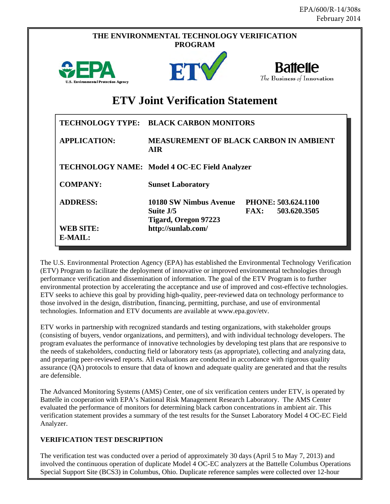|                                      | THE ENVIRONMENTAL TECHNOLOGY VERIFICATION<br><b>PROGRAM</b>        |                                               |
|--------------------------------------|--------------------------------------------------------------------|-----------------------------------------------|
| U.S. Environmental Protection Agency | ET                                                                 | <b>Battelle</b><br>The Business of Innovation |
|                                      | <b>ETV Joint Verification Statement</b>                            |                                               |
|                                      | TECHNOLOGY TYPE: BLACK CARBON MONITORS                             |                                               |
| <b>APPLICATION:</b>                  | <b>AIR</b>                                                         | <b>MEASUREMENT OF BLACK CARBON IN AMBIENT</b> |
|                                      | TECHNOLOGY NAME: Model 4 OC-EC Field Analyzer                      |                                               |
| <b>COMPANY:</b>                      | <b>Sunset Laboratory</b>                                           |                                               |
| <b>ADDRESS:</b>                      | 10180 SW Nimbus Avenue<br>Suite J/5<br><b>Tigard, Oregon 97223</b> | PHONE: 503.624.1100<br>503.620.3505<br>FAX:   |
| <b>WEB SITE:</b><br>E-MAIL:          | http://sunlab.com/                                                 |                                               |

The U.S. Environmental Protection Agency (EPA) has established the Environmental Technology Verification (ETV) Program to facilitate the deployment of innovative or improved environmental technologies through performance verification and dissemination of information. The goal of the ETV Program is to further environmental protection by accelerating the acceptance and use of improved and cost-effective technologies. ETV seeks to achieve this goal by providing high-quality, peer-reviewed data on technology performance to those involved in the design, distribution, financing, permitting, purchase, and use of environmental technologies. Information and ETV documents are available at www.epa.gov/etv.

ETV works in partnership with recognized standards and testing organizations, with stakeholder groups (consisting of buyers, vendor organizations, and permitters), and with individual technology developers. The program evaluates the performance of innovative technologies by developing test plans that are responsive to the needs of stakeholders, conducting field or laboratory tests (as appropriate), collecting and analyzing data, and preparing peer-reviewed reports. All evaluations are conducted in accordance with rigorous quality assurance (QA) protocols to ensure that data of known and adequate quality are generated and that the results are defensible.

The Advanced Monitoring Systems (AMS) Center, one of six verification centers under ETV, is operated by Battelle in cooperation with EPA's National Risk Management Research Laboratory. The AMS Center evaluated the performance of monitors for determining black carbon concentrations in ambient air. This verification statement provides a summary of the test results for the Sunset Laboratory Model 4 OC-EC Field Analyzer.

## **VERIFICATION TEST DESCRIPTION**

The verification test was conducted over a period of approximately 30 days (April 5 to May 7, 2013) and involved the continuous operation of duplicate Model 4 OC-EC analyzers at the Battelle Columbus Operations Special Support Site (BCS3) in Columbus, Ohio. Duplicate reference samples were collected over 12-hour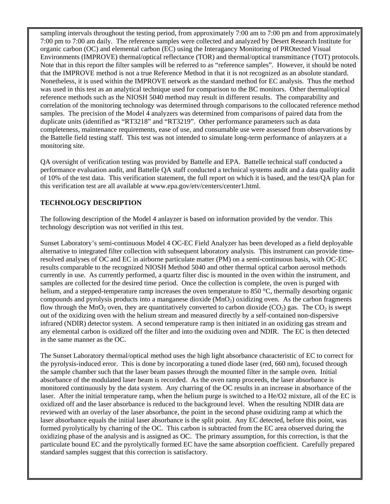reference methods such as the NIOSH 5040 method may result in different results. The comparability and sampling intervals throughout the testing period, from approximately 7:00 am to 7:00 pm and from approximately 7:00 pm to 7:00 am daily. The reference samples were collected and analyzed by Desert Research Institute for organic carbon (OC) and elemental carbon (EC) using the Interagancy Monitoring of PROtected Visual Environments (IMPROVE) thermal/optical reflectance (TOR) and thermal/optical transmittance (TOT) protocols. Note that in this report the filter samples will be referred to as "reference samples". However, it should be noted that the IMPROVE method is not a true Reference Method in that it is not recognized as an absolute standard. Nonetheless, it is used within the IMPROVE network as the standard method for EC analysis. Thus the method was used in this test as an analytical technique used for comparison to the BC monitors. Other thermal/optical correlation of the monitoring technology was determined through comparisons to the collocated reference method samples. The precision of the Model 4 analyzers was determined from comparisons of paired data from the duplicate units (identified as "RT3218" and "RT3219". Other performance parameters such as data completeness, maintenance requirements, ease of use, and consumable use were assessed from observations by the Battelle field testing staff. This test was not intended to simulate long-term performance of anlayzers at a monitoring site.

QA oversight of verification testing was provided by Battelle and EPA. Battelle technical staff conducted a performance evaluation audit, and Battelle QA staff conducted a technical systems audit and a data quality audit of 10% of the test data. This verification statement, the full report on which it is based, and the test/QA plan for this verification test are all available at www.epa.gov/etv/centers/center1.html.

## **TECHNOLOGY DESCRIPTION**

The following description of the Model 4 anlayzer is based on information provided by the vendor. This technology description was not verified in this test.

 out of the oxidizing oven with the helium stream and measured directly by a self-contained non-dispersive Sunset Laboratory's semi-continuous Model 4 OC-EC Field Analyzer has been developed as a field deployable alternative to integrated filter collection with subsequent laboratory analysis. This instrument can provide timeresolved analyses of OC and EC in airborne particulate matter (PM) on a semi-continuous basis, with OC-EC results comparable to the recognized NIOSH Method 5040 and other thermal optical carbon aerosol methods currently in use. As currently performed, a quartz filter disc is mounted in the oven within the instrument, and samples are collected for the desired time period. Once the collection is complete, the oven is purged with helium, and a stepped-temperature ramp increases the oven temperature to 850 °C, thermally desorbing organic compounds and pyrolysis products into a manganese dioxide  $(MnO<sub>2</sub>)$  oxidizing oven. As the carbon fragments flow through the MnO<sub>2</sub> oven, they are quantitatively converted to carbon dioxide (CO<sub>2</sub>) gas. The CO<sub>2</sub> is swept infrared (NDIR) detector system. A second temperature ramp is then initiated in an oxidizing gas stream and any elemental carbon is oxidized off the filter and into the oxidizing oven and NDIR. The EC is then detected in the same manner as the OC.

The Sunset Laboratory thermal/optical method uses the high light absorbance characteristic of EC to correct for the pyrolysis-induced error. This is done by incorporating a tuned diode laser (red, 660 nm), focused through the sample chamber such that the laser beam passes through the mounted filter in the sample oven. Initial absorbance of the modulated laser beam is recorded. As the oven ramp proceeds, the laser absorbance is monitored continuously by the data system. Any charring of the OC results in an increase in absorbance of the laser. After the initial temperature ramp, when the helium purge is switched to a He/O2 mixture, all of the EC is oxidized off and the laser absorbance is reduced to the background level. When the resulting NDIR data are reviewed with an overlay of the laser absorbance, the point in the second phase oxidizing ramp at which the laser absorbance equals the initial laser absorbance is the split point. Any EC detected, before this point, was formed pyrolytically by charring of the OC. This carbon is subtracted from the EC area observed during the oxidizing phase of the analysis and is assigned as OC. The primary assumption, for this correction, is that the particulate bound EC and the pyrolytically formed EC have the same absorption coefficient. Carefully prepared standard samples suggest that this correction is satisfactory.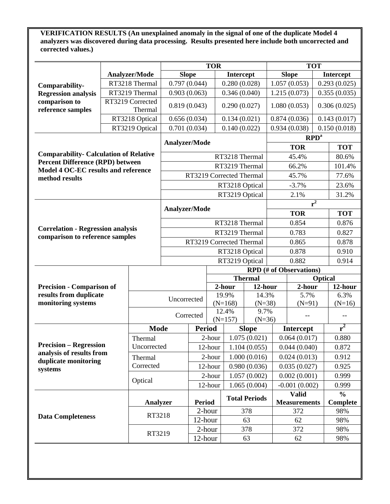**VERIFICATION RESULTS (An unexplained anomaly in the signal of one of the duplicate Model 4 analyzers was discovered during data processing. Results presented here include both uncorrected and corrected values.)** 

|                                                                                                                                 |                                  |                          |                          |                | <b>TOR</b>    |                    |                      |                 |                                | <b>TOT</b>                |               |
|---------------------------------------------------------------------------------------------------------------------------------|----------------------------------|--------------------------|--------------------------|----------------|---------------|--------------------|----------------------|-----------------|--------------------------------|---------------------------|---------------|
|                                                                                                                                 |                                  | <b>Analyzer/Mode</b>     | <b>Slope</b>             |                |               | Intercept          |                      |                 | <b>Slope</b>                   |                           | Intercept     |
| Comparability-                                                                                                                  |                                  | RT3218 Thermal           | 0.797(0.044)             |                |               | 0.280(0.028)       |                      |                 | 1.057(0.053)                   |                           | 0.293(0.025)  |
| <b>Regression analysis</b>                                                                                                      |                                  | RT3219 Thermal           | 0.903(0.063)             |                |               | 0.346(0.040)       |                      |                 | 1.215(0.073)                   |                           | 0.355(0.035)  |
| comparison to                                                                                                                   |                                  | RT3219 Corrected         |                          |                |               |                    |                      |                 |                                |                           | 0.306(0.025)  |
| reference samples                                                                                                               |                                  | Thermal                  | 0.819(0.043)             |                |               | 0.290(0.027)       |                      |                 | 1.080(0.053)                   |                           |               |
|                                                                                                                                 |                                  | RT3218 Optical           | 0.656(0.034)             |                |               | 0.134(0.021)       |                      |                 | 0.874(0.036)                   |                           | 0.143(0.017)  |
|                                                                                                                                 |                                  | RT3219 Optical           | 0.701(0.034)             |                |               | 0.140(0.022)       |                      |                 | 0.934(0.038)                   |                           | 0.150(0.018)  |
|                                                                                                                                 |                                  |                          | Analyzer/Mode            |                |               |                    |                      |                 |                                | $\mathbb{R}P\mathbb{D}^a$ |               |
|                                                                                                                                 |                                  |                          |                          |                |               |                    |                      |                 | <b>TOR</b>                     |                           | <b>TOT</b>    |
| <b>Comparability- Calculation of Relative</b><br><b>Percent Difference (RPD) between</b><br>Model 4 OC-EC results and reference |                                  | RT3218 Thermal           |                          |                |               |                    |                      | 45.4%           |                                | 80.6%                     |               |
|                                                                                                                                 |                                  | RT3219 Thermal           |                          |                |               |                    |                      | 66.2%           | 101.4%                         |                           |               |
| method results                                                                                                                  |                                  |                          | RT3219 Corrected Thermal |                |               |                    |                      |                 | 45.7%                          | 77.6%                     |               |
|                                                                                                                                 |                                  |                          |                          |                |               | RT3218 Optical     |                      |                 | $-3.7%$                        |                           | 23.6%         |
|                                                                                                                                 |                                  |                          |                          |                |               | RT3219 Optical     |                      |                 | 2.1%                           |                           | 31.2%         |
|                                                                                                                                 |                                  |                          |                          |                |               |                    |                      |                 |                                | $\overline{r^2}$          |               |
|                                                                                                                                 |                                  |                          | <b>Analyzer/Mode</b>     |                |               |                    |                      |                 | <b>TOR</b>                     |                           | <b>TOT</b>    |
| <b>Correlation - Regression analysis</b>                                                                                        |                                  |                          | RT3218 Thermal           |                |               |                    |                      | 0.854           |                                |                           | 0.876         |
|                                                                                                                                 |                                  |                          |                          | RT3219 Thermal |               |                    |                      |                 | 0.783                          | 0.827                     |               |
| comparison to reference samples                                                                                                 |                                  | RT3219 Corrected Thermal |                          |                |               |                    | 0.865                |                 | 0.878                          |                           |               |
|                                                                                                                                 |                                  |                          | RT3218 Optical           |                |               |                    | 0.878                |                 | 0.910                          |                           |               |
|                                                                                                                                 |                                  |                          |                          |                |               | RT3219 Optical     |                      |                 | 0.882                          |                           | 0.914         |
|                                                                                                                                 |                                  |                          |                          |                |               |                    |                      |                 | <b>RPD</b> (# of Observations) |                           |               |
|                                                                                                                                 |                                  |                          |                          |                |               |                    | <b>Thermal</b>       | <b>Optical</b>  |                                |                           |               |
|                                                                                                                                 | <b>Precision - Comparison of</b> |                          |                          |                |               | 2-hour<br>12-hour  |                      |                 | 2-hour                         |                           | 12-hour       |
| results from duplicate                                                                                                          |                                  |                          | Uncorrected              |                |               | 19.9%              | 14.3%                |                 | 5.7%                           |                           | 6.3%          |
| monitoring systems                                                                                                              |                                  |                          |                          |                |               | $(N=168)$<br>12.4% | $(N=38)$<br>9.7%     |                 | $(N=91)$                       |                           | $(N=16)$      |
|                                                                                                                                 |                                  |                          |                          | Corrected      |               | $(N=157)$          | $(N=36)$             |                 | $-$                            |                           |               |
|                                                                                                                                 |                                  | <b>Mode</b>              |                          | <b>Period</b>  |               |                    | <b>Slope</b>         |                 | Intercept                      |                           | $r^2$         |
|                                                                                                                                 |                                  | Thermal                  |                          |                | 2-hour        |                    | 1.075(0.021)         |                 | 0.064(0.017)                   |                           | 0.880         |
|                                                                                                                                 | <b>Precision – Regression</b>    |                          | Uncorrected              |                | 12-hour       |                    | 1.104(0.055)         |                 | 0.044(0.040)                   |                           | 0.872         |
| analysis of results from                                                                                                        |                                  | Thermal                  |                          | 2-hour         |               |                    | 1.000(0.016)         |                 | 0.024(0.013)                   |                           | 0.912         |
| duplicate monitoring                                                                                                            |                                  | Corrected                |                          | 12-hour        |               | 0.980(0.036)       |                      | 0.035(0.027)    |                                |                           | 0.925         |
| systems                                                                                                                         |                                  |                          |                          |                | 2-hour        | 1.057(0.002)       |                      | 0.002(0.001)    |                                | 0.999                     |               |
|                                                                                                                                 |                                  | Optical                  |                          |                | 12-hour       | 1.065(0.004)       |                      | $-0.001(0.002)$ |                                | 0.999                     |               |
|                                                                                                                                 |                                  |                          |                          |                |               |                    |                      |                 | <b>Valid</b>                   |                           | $\frac{0}{0}$ |
|                                                                                                                                 |                                  | Analyzer                 |                          |                | <b>Period</b> |                    | <b>Total Periods</b> |                 | <b>Measurements</b>            |                           | Complete      |
|                                                                                                                                 |                                  |                          |                          |                | 2-hour        | 378                |                      | 372             |                                | 98%                       |               |
| <b>Data Completeness</b>                                                                                                        |                                  | RT3218                   |                          | 12-hour        |               | 63                 |                      | 62              |                                | 98%                       |               |
|                                                                                                                                 |                                  |                          | RT3219<br>12-hour        |                | 2-hour        | 378                |                      | 372             |                                | 98%                       |               |
|                                                                                                                                 |                                  |                          |                          |                |               | 63                 |                      | 62              |                                | 98%                       |               |
|                                                                                                                                 |                                  |                          |                          |                |               |                    |                      |                 |                                |                           |               |
|                                                                                                                                 |                                  |                          |                          |                |               |                    |                      |                 |                                |                           |               |